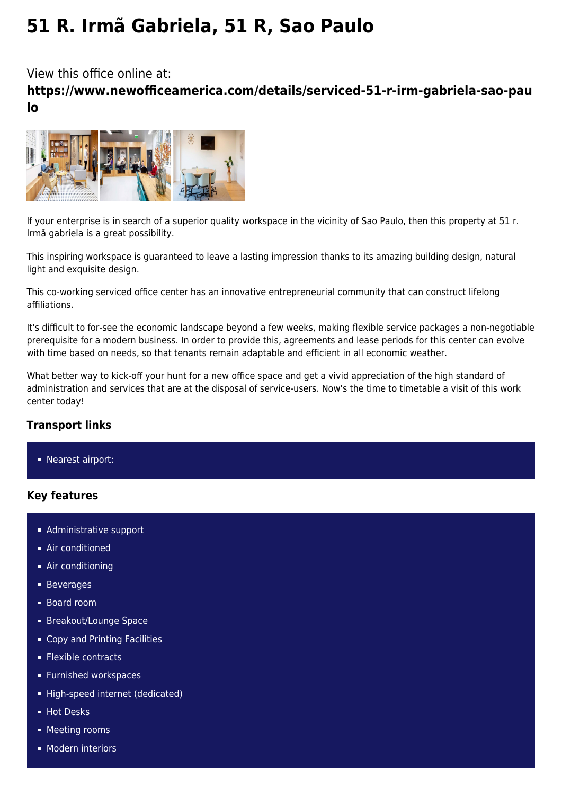# **51 R. Irmã Gabriela, 51 R, Sao Paulo**

View this office online at:

**https://www.newofficeamerica.com/details/serviced-51-r-irm-gabriela-sao-pau lo**



If your enterprise is in search of a superior quality workspace in the vicinity of Sao Paulo, then this property at 51 r. Irmã gabriela is a great possibility.

This inspiring workspace is guaranteed to leave a lasting impression thanks to its amazing building design, natural light and exquisite design.

This co-working serviced office center has an innovative entrepreneurial community that can construct lifelong affiliations.

It's difficult to for-see the economic landscape beyond a few weeks, making flexible service packages a non-negotiable prerequisite for a modern business. In order to provide this, agreements and lease periods for this center can evolve with time based on needs, so that tenants remain adaptable and efficient in all economic weather.

What better way to kick-off your hunt for a new office space and get a vivid appreciation of the high standard of administration and services that are at the disposal of service-users. Now's the time to timetable a visit of this work center today!

## **Transport links**

**Nearest airport:** 

## **Key features**

- **Administrative support**
- **Air conditioned**
- Air conditioning
- **Beverages**
- Board room
- **Breakout/Lounge Space**
- Copy and Printing Facilities
- **Flexible contracts**
- **Furnished workspaces**
- High-speed internet (dedicated)
- **Hot Desks**
- **Meeting rooms**
- **Modern interiors**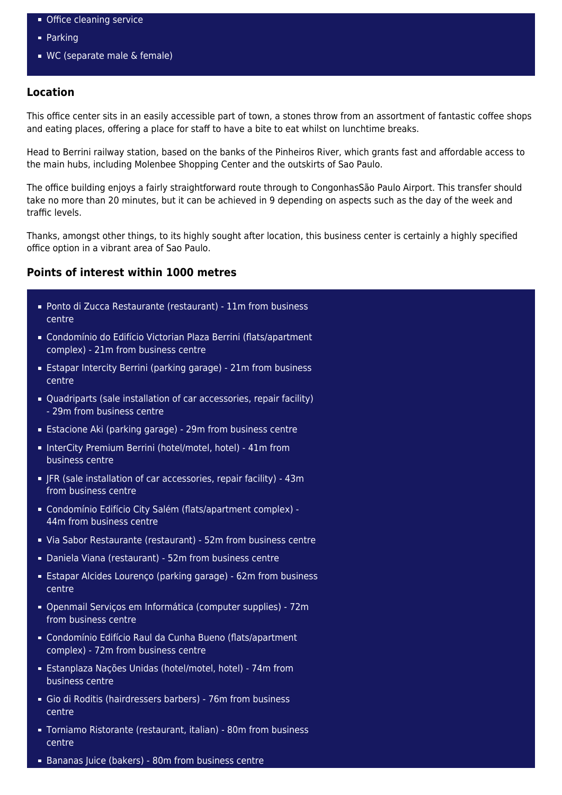- **Office cleaning service**
- **Parking**
- WC (separate male & female)

### **Location**

This office center sits in an easily accessible part of town, a stones throw from an assortment of fantastic coffee shops and eating places, offering a place for staff to have a bite to eat whilst on lunchtime breaks.

Head to Berrini railway station, based on the banks of the Pinheiros River, which grants fast and affordable access to the main hubs, including Molenbee Shopping Center and the outskirts of Sao Paulo.

The office building enjoys a fairly straightforward route through to CongonhasSão Paulo Airport. This transfer should take no more than 20 minutes, but it can be achieved in 9 depending on aspects such as the day of the week and traffic levels.

Thanks, amongst other things, to its highly sought after location, this business center is certainly a highly specified office option in a vibrant area of Sao Paulo.

#### **Points of interest within 1000 metres**

- Ponto di Zucca Restaurante (restaurant) 11m from business centre
- Condomínio do Edifício Victorian Plaza Berrini (flats/apartment complex) - 21m from business centre
- Estapar Intercity Berrini (parking garage) 21m from business centre
- Quadriparts (sale installation of car accessories, repair facility) - 29m from business centre
- Estacione Aki (parking garage) 29m from business centre
- InterCity Premium Berrini (hotel/motel, hotel) 41m from business centre
- JFR (sale installation of car accessories, repair facility) 43m from business centre
- Condomínio Edifício City Salém (flats/apartment complex) 44m from business centre
- Via Sabor Restaurante (restaurant) 52m from business centre
- Daniela Viana (restaurant) 52m from business centre
- Estapar Alcides Lourenço (parking garage) 62m from business centre
- Openmail Serviços em Informática (computer supplies) 72m from business centre
- Condomínio Edifício Raul da Cunha Bueno (flats/apartment complex) - 72m from business centre
- Estanplaza Nações Unidas (hotel/motel, hotel) 74m from business centre
- Gio di Roditis (hairdressers barbers) 76m from business centre
- Torniamo Ristorante (restaurant, italian) 80m from business centre
- Bananas Juice (bakers) 80m from business centre